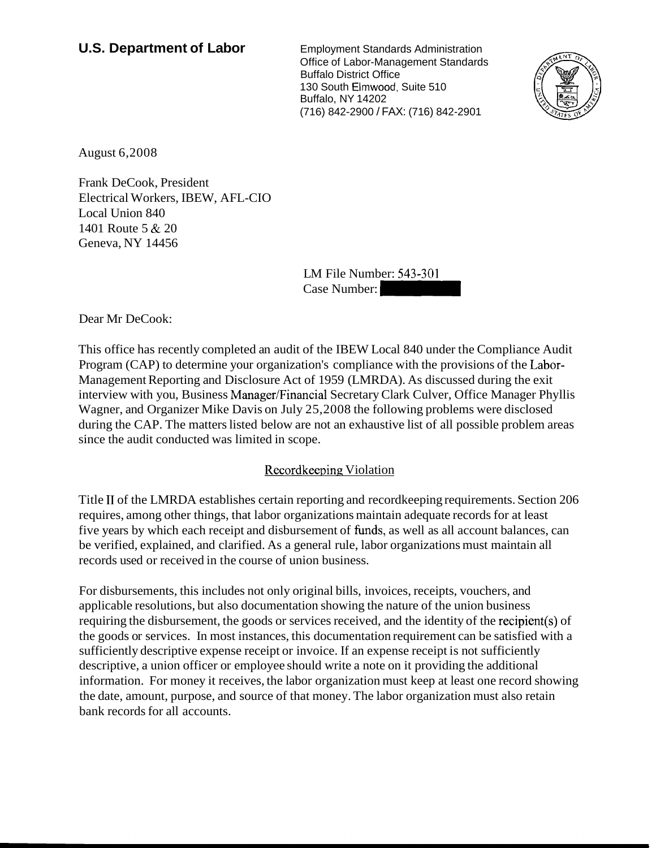# **U.S. Department of Labor** Employment Standards Administration

Office of Labor-Management Standards Buffalo District Office 130 South Elmwood, Suite 510 Buffalo, NY 14202 (716) 842-2900 / FAX: (716) 842-2901 Office of Labor-Management Standards<br>
Buffalo District Office<br>
30 South Elmwood, Suite 510<br>
Suffalo, NY 14202<br>
T16) 842-2900 / FAX: (716) 842-2901<br>
LM File Number: 543-301<br>
Case Number:<br>
Case Number:



August 6,2008

Frank DeCook, President Electrical Workers, IBEW, AFL-CIO Local Union 840 1401 Route 5 & 20 Geneva, NY 14456

LM File Number: 543-301

Dear Mr DeCook:

This office has recently completed an audit of the IBEW Local 840 under the Compliance Audit Program (CAP) to determine your organization's compliance with the provisions of the Labor-Management Reporting and Disclosure Act of 1959 (LMRDA). As discussed during the exit interview with you, Business Manager/Financial Secretary Clark Culver, Office Manager Phyllis Wagner, and Organizer Mike Davis on July 25,2008 the following problems were disclosed during the CAP. The matters listed below are not an exhaustive list of all possible problem areas since the audit conducted was limited in scope.

# Recordkeeping Violation

Title I1 of the LMRDA establishes certain reporting and recordkeeping requirements. Section 206 requires, among other things, that labor organizations maintain adequate records for at least five years by which each receipt and disbursement of funds, as well as all account balances, can be verified, explained, and clarified. As a general rule, labor organizations must maintain all records used or received in the course of union business.

For disbursements, this includes not only original bills, invoices, receipts, vouchers, and applicable resolutions, but also documentation showing the nature of the union business requiring the disbursement, the goods or services received, and the identity of the recipient(s) of the goods or services. In most instances, this documentation requirement can be satisfied with a sufficiently descriptive expense receipt or invoice. If an expense receipt is not sufficiently descriptive, a union officer or employee should write a note on it providing the additional information. For money it receives, the labor organization must keep at least one record showing the date, amount, purpose, and source of that money. The labor organization must also retain bank records for all accounts.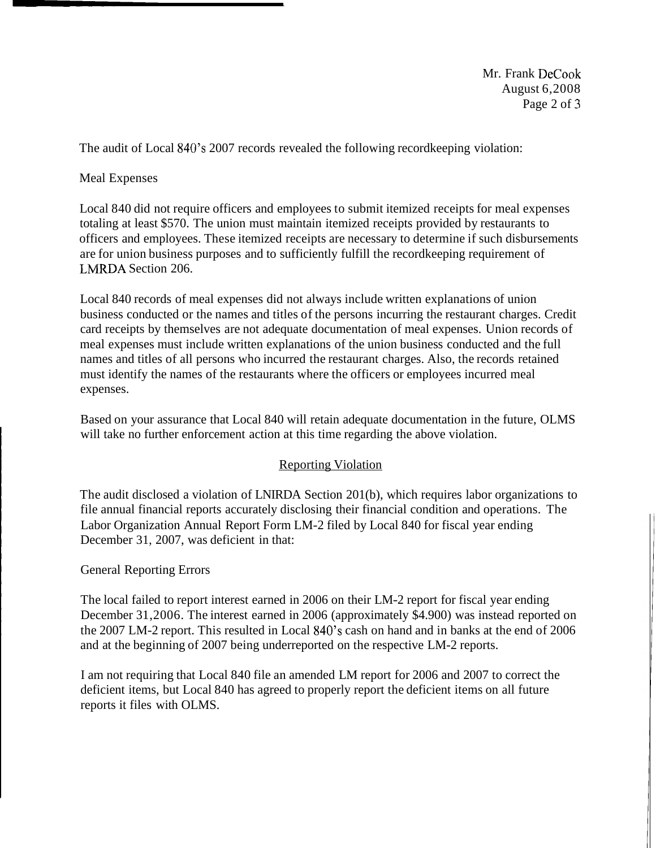Mr. Frank DeCook August 6,2008 Page 2 of 3

The audit of Local 840's 2007 records revealed the following recordkeeping violation:

Meal Expenses

Local 840 did not require officers and employees to submit itemized receipts for meal expenses totaling at least \$570. The union must maintain itemized receipts provided by restaurants to officers and employees. These itemized receipts are necessary to determine if such disbursements are for union business purposes and to sufficiently fulfill the recordkeeping requirement of LNIRDA Section 206.

Local 840 records of meal expenses did not always include written explanations of union business conducted or the names and titles of the persons incurring the restaurant charges. Credit card receipts by themselves are not adequate documentation of meal expenses. Union records of meal expenses must include written explanations of the union business conducted and the full names and titles of all persons who incurred the restaurant charges. Also, the records retained must identify the names of the restaurants where the officers or employees incurred meal expenses.

Based on your assurance that Local 840 will retain adequate documentation in the future, OLMS will take no further enforcement action at this time regarding the above violation.

# Reporting Violation

The audit disclosed a violation of LNIRDA Section 201 (b), which requires labor organizations to file annual financial reports accurately disclosing their financial condition and operations. The Labor Organization Annual Report Form LM-2 filed by Local 840 for fiscal year ending December 31, 2007, was deficient in that:

# General Reporting Errors

The local failed to report interest earned in 2006 on their LM-2 report for fiscal year ending December 31,2006. The interest earned in 2006 (approximately \$4.900) was instead reported on the 2007 LM-2 report. This resulted in Local 840's cash on hand and in banks at the end of 2006 and at the beginning of 2007 being underreported on the respective LM-2 reports.

I am not requiring that Local 840 file an amended LM report for 2006 and 2007 to correct the deficient items, but Local 840 has agreed to properly report the deficient items on all future reports it files with OLMS.